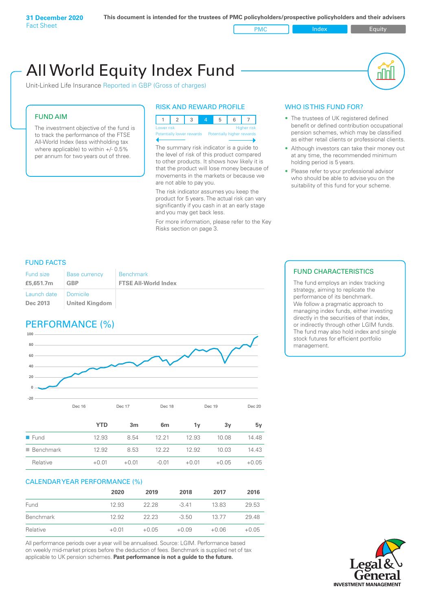PMC Index PMC Equity

# All World Equity Index Fund

Unit-Linked Life Insurance Reported in GBP (Gross of charges)

# FUND AIM

The investment objective of the fund is to track the performance of the FTSE All-World Index (less withholding tax where applicable) to within +/- 0.5% per annum for two years out of three.

# RISK AND REWARD PROFILE



The summary risk indicator is a guide to the level of risk of this product compared

to other products. It shows how likely it is that the product will lose money because of movements in the markets or because we are not able to pay you.

The risk indicator assumes you keep the product for 5 years. The actual risk can vary significantly if you cash in at an early stage and you may get back less.

For more information, please refer to the Key Risks section on page 3.

# WHO IS THIS FUND FOR?

- The trustees of UK registered defined benefit or defined contribution occupational pension schemes, which may be classified as either retail clients or professional clients.
- Although investors can take their money out at any time, the recommended minimum holding period is 5 years.
- Please refer to your professional advisor who should be able to advise you on the suitability of this fund for your scheme.

# FUND FACTS

| Fund size                          | <b>Base currency</b>  | <b>Benchmark</b>            |
|------------------------------------|-----------------------|-----------------------------|
| £5,651.7m                          | <b>GBP</b>            | <b>FTSE All-World Index</b> |
| Launch date   Domicile<br>Dec 2013 | <b>United Kingdom</b> |                             |

# PERFORMANCE (%)



|                          | <b>YTD</b> | 3 <sub>m</sub> | 6m      | 1v      | 3v      | 5v      |
|--------------------------|------------|----------------|---------|---------|---------|---------|
| $\blacksquare$ Fund      | 12.93      | 8.54           | 12.21   | 12.93   | 10.08   | 14.48   |
| $\blacksquare$ Benchmark | 12.92      | 8.53           | 12.22   | 12.92   | 10.03   | 14.43   |
| Relative                 | $+0.01$    | $+0.01$        | $-0.01$ | $+0.01$ | $+0.05$ | $+0.05$ |

# CALENDAR YEAR PERFORMANCE (%)

|           | 2020    | 2019    | 2018    | 2017    | 2016    |
|-----------|---------|---------|---------|---------|---------|
| Fund      | 12.93   | 22.28   | $-341$  | 13.83   | 29.53   |
| Benchmark | 12.92   | 22.23   | $-3.50$ | 13.77   | 29.48   |
| Relative  | $+0.01$ | $+0.05$ | $+0.09$ | $+0.06$ | $+0.05$ |

All performance periods over a year will be annualised. Source: LGIM. Performance based on weekly mid-market prices before the deduction of fees. Benchmark is supplied net of tax applicable to UK pension schemes. **Past performance is not a guide to the future.**

# FUND CHARACTERISTICS

The fund employs an index tracking strategy, aiming to replicate the performance of its benchmark. We follow a pragmatic approach to managing index funds, either investing directly in the securities of that index, or indirectly through other LGIM funds. The fund may also hold index and single stock futures for efficient portfolio management.

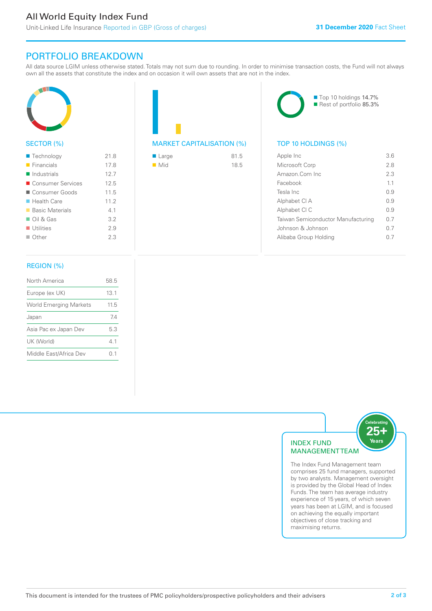# All World Equity Index Fund

Unit-Linked Life Insurance Reported in GBP (Gross of charges)

# PORTFOLIO BREAKDOWN

All data source LGIM unless otherwise stated. Totals may not sum due to rounding. In order to minimise transaction costs, the Fund will not always own all the assets that constitute the index and on occasion it will own assets that are not in the index.



# SECTOR (%)

| $\blacksquare$ Technology  | 21.8 |
|----------------------------|------|
| $\blacksquare$ Financials  | 17.8 |
| $\blacksquare$ Industrials | 12.7 |
| ■ Consumer Services        | 12.5 |
| ■ Consumer Goods           | 11.5 |
| $\blacksquare$ Health Care | 11.2 |
| ■ Basic Materials          | 4.1  |
| $\Box$ Oil & Gas           | 3.2  |
| $\blacksquare$ Utilities   | 2.9  |
| $\Box$ Other               | 2.3  |
|                            |      |

# REGION (%)

| North America                 | 58.5 |
|-------------------------------|------|
| Europe (ex UK)                | 131  |
| <b>World Emerging Markets</b> | 11.5 |
| Japan                         | 74   |
| Asia Pac ex Japan Dev         | 5.3  |
| UK (World)                    | 41   |
| Middle East/Africa Dev        | () 1 |
|                               |      |

# MARKET CAPITALISATION (%) TOP 10 HOLDINGS (%)

| ■ Large            | 81.5 |
|--------------------|------|
| $\blacksquare$ Mid | 18.5 |



■ Top 10 holdings 14.7% Rest of portfolio 85.3%

| Apple Inc                          | 36  |
|------------------------------------|-----|
| Microsoft Corp                     | 2.8 |
| Amazon.Com Inc.                    | 2.3 |
| Facebook                           | 11  |
| Tesla Inc                          | O 9 |
| Alphabet CI A                      | 09  |
| Alphabet CI C                      | O 9 |
| Taiwan Semiconductor Manufacturing | 0 7 |
| Johnson & Johnson                  | 0 7 |
| Alibaba Group Holding              | ()  |
|                                    |     |



comprises 25 fund managers, supported by two analysts. Management oversight is provided by the Global Head of Index Funds. The team has average industry experience of 15 years, of which seven years has been at LGIM, and is focused on achieving the equally important objectives of close tracking and maximising returns.